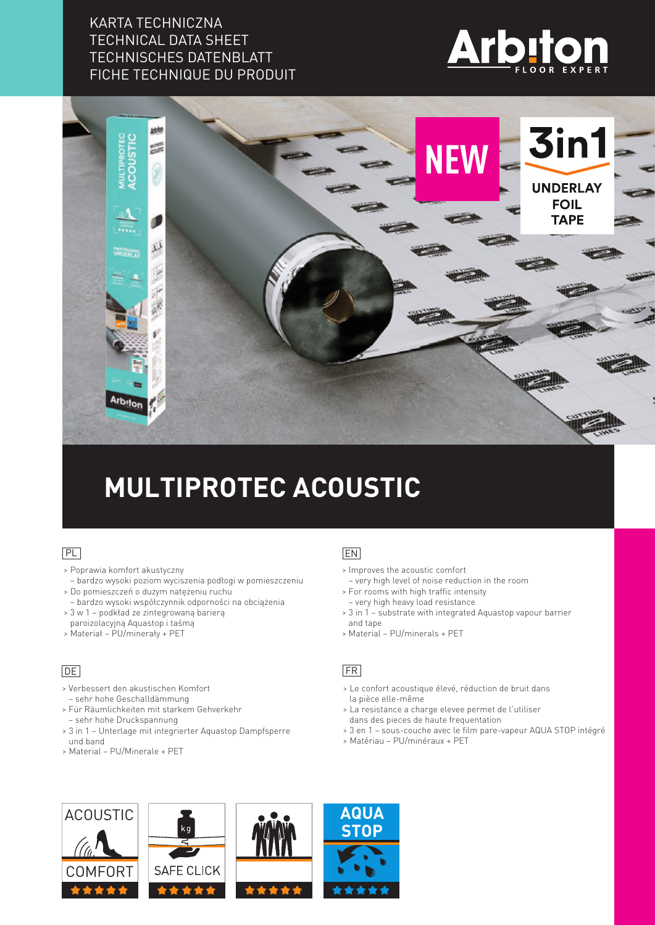### KARTA TECHNICZNA TECHNICAL DATA SHEET TECHNISCHES DATENBLATT FICHE TECHNIQUE DU PRODUIT





# **MULTIPROTEC ACOUSTIC**

#### PL

- > Poprawia komfort akustyczny
- bardzo wysoki poziom wyciszenia podłogi w pomieszczeniu > Do pomieszczeń o dużym natężeniu ruchu
- bardzo wysoki współczynnik odporności na obciążenia
- > 3 w 1 podkład ze zintegrowaną barierą paroizolacyjną Aquastop i taśmą
- > Materiał PU/minerały + PET

#### **DE**

- > Verbessert den akustischen Komfort – sehr hohe Geschalldämmung
- > Für Räumlichkeiten mit starkem Gehverkehr – sehr hohe Druckspannung
- > 3 in 1 Unterlage mit integrierter Aquastop Dampfsperre und band
- > Material PU/Minerale + PET

#### EN

- > Improves the acoustic comfort
- very high level of noise reduction in the room
- > For rooms with high traffic intensity – very high heavy load resistance
- > 3 in 1 substrate with integrated Aquastop vapour barrier and tape
- > Material PU/minerals + PET

#### FR

- > Le confort acoustique élevé, réduction de bruit dans la pièce elle-même
- > La resistance a charge elevee permet de l'utiliser dans des pieces de haute frequentation
- > 3 en 1 sous-couche avec le film pare-vapeur AQUA STOP intégré
- > Matériau PU/minéraux + PET